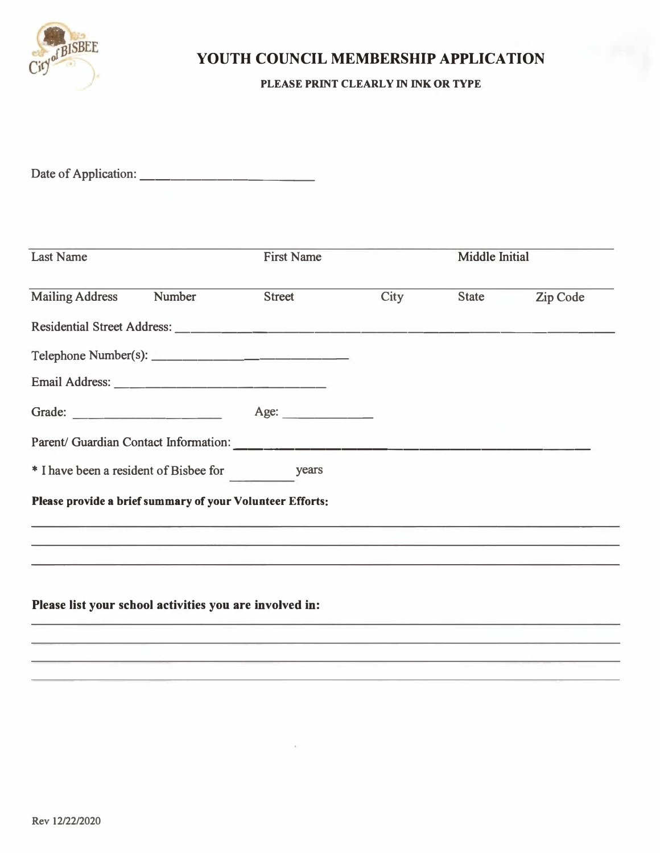

## **YOUTH COUNCIL MEMBERSHIP APPLICATION**

**PLEASE PRINT CLEARLY IN INK OR TYPE** 

Date of Application: \_\_\_\_\_\_\_\_\_\_ \_

| <b>Last Name</b>                                          | <b>First Name</b> |      | <b>Middle Initial</b> |          |
|-----------------------------------------------------------|-------------------|------|-----------------------|----------|
| Mailing Address Number                                    | Street            | City | State                 | Zip Code |
|                                                           |                   |      |                       |          |
|                                                           |                   |      |                       |          |
|                                                           |                   |      |                       |          |
|                                                           | Age:              |      |                       |          |
|                                                           |                   |      |                       |          |
| * I have been a resident of Bisbee for years              |                   |      |                       |          |
| Please provide a brief summary of your Volunteer Efforts: |                   |      |                       |          |
|                                                           |                   |      |                       |          |
|                                                           |                   |      |                       |          |
|                                                           |                   |      |                       |          |
| Please list your school activities you are involved in:   |                   |      |                       |          |
|                                                           |                   |      |                       |          |